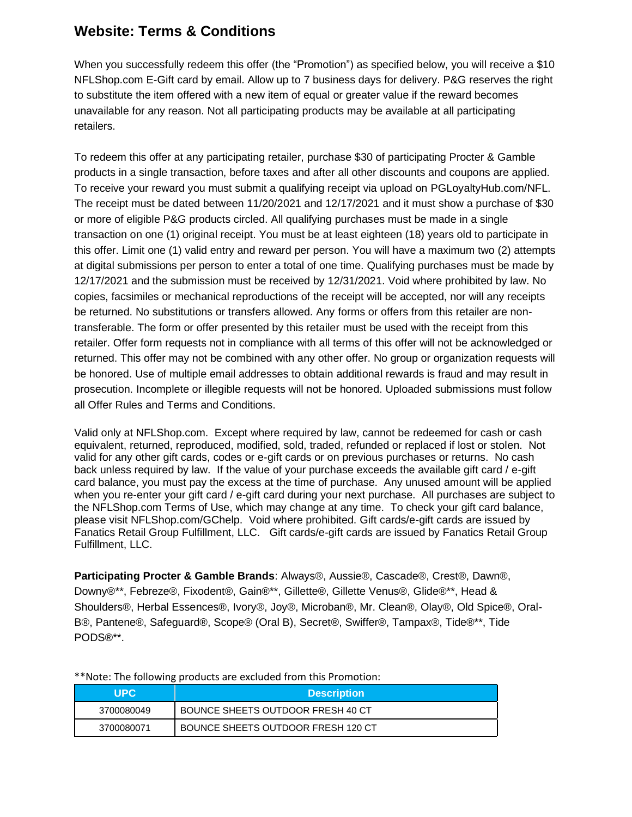## **Website: Terms & Conditions**

When you successfully redeem this offer (the "Promotion") as specified below, you will receive a \$10 NFLShop.com E-Gift card by email. Allow up to 7 business days for delivery. P&G reserves the right to substitute the item offered with a new item of equal or greater value if the reward becomes unavailable for any reason. Not all participating products may be available at all participating retailers.

To redeem this offer at any participating retailer, purchase \$30 of participating Procter & Gamble products in a single transaction, before taxes and after all other discounts and coupons are applied. To receive your reward you must submit a qualifying receipt via upload on PGLoyaltyHub.com/NFL. The receipt must be dated between 11/20/2021 and 12/17/2021 and it must show a purchase of \$30 or more of eligible P&G products circled. All qualifying purchases must be made in a single transaction on one (1) original receipt. You must be at least eighteen (18) years old to participate in this offer. Limit one (1) valid entry and reward per person. You will have a maximum two (2) attempts at digital submissions per person to enter a total of one time. Qualifying purchases must be made by 12/17/2021 and the submission must be received by 12/31/2021. Void where prohibited by law. No copies, facsimiles or mechanical reproductions of the receipt will be accepted, nor will any receipts be returned. No substitutions or transfers allowed. Any forms or offers from this retailer are nontransferable. The form or offer presented by this retailer must be used with the receipt from this retailer. Offer form requests not in compliance with all terms of this offer will not be acknowledged or returned. This offer may not be combined with any other offer. No group or organization requests will be honored. Use of multiple email addresses to obtain additional rewards is fraud and may result in prosecution. Incomplete or illegible requests will not be honored. Uploaded submissions must follow all Offer Rules and Terms and Conditions.

Valid only at NFLShop.com. Except where required by law, cannot be redeemed for cash or cash equivalent, returned, reproduced, modified, sold, traded, refunded or replaced if lost or stolen. Not valid for any other gift cards, codes or e-gift cards or on previous purchases or returns. No cash back unless required by law. If the value of your purchase exceeds the available gift card / e-gift card balance, you must pay the excess at the time of purchase. Any unused amount will be applied when you re-enter your gift card / e-gift card during your next purchase. All purchases are subject to the NFLShop.com Terms of Use, which may change at any time. To check your gift card balance, please visit NFLShop.com/GChelp. Void where prohibited. Gift cards/e-gift cards are issued by Fanatics Retail Group Fulfillment, LLC. Gift cards/e-gift cards are issued by Fanatics Retail Group Fulfillment, LLC.

**Participating Procter & Gamble Brands**: Always®, Aussie®, Cascade®, Crest®, Dawn®, Downy®\*\*, Febreze®, Fixodent®, Gain®\*\*, Gillette®, Gillette Venus®, Glide®\*\*, Head & Shoulders®, Herbal Essences®, Ivory®, Joy®, Microban®, Mr. Clean®, Olay®, Old Spice®, Oral-B®, Pantene®, Safeguard®, Scope® (Oral B), Secret®, Swiffer®, Tampax®, Tide®\*\*, Tide PODS®\*\*.

| UPC.       | <b>Description</b>                 |
|------------|------------------------------------|
| 3700080049 | BOUNCE SHEETS OUTDOOR FRESH 40 CT  |
| 3700080071 | BOUNCE SHEETS OUTDOOR FRESH 120 CT |

\*\*Note: The following products are excluded from this Promotion: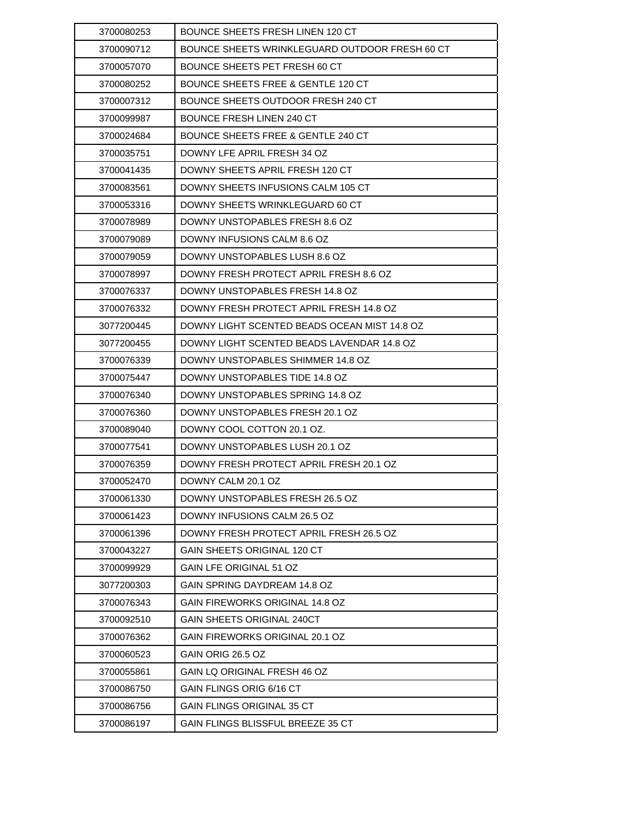| 3700080253 | <b>BOUNCE SHEETS FRESH LINEN 120 CT</b>        |
|------------|------------------------------------------------|
| 3700090712 | BOUNCE SHEETS WRINKLEGUARD OUTDOOR FRESH 60 CT |
| 3700057070 | BOUNCE SHEETS PET FRESH 60 CT                  |
| 3700080252 | <b>BOUNCE SHEETS FREE &amp; GENTLE 120 CT</b>  |
| 3700007312 | BOUNCE SHEETS OUTDOOR FRESH 240 CT             |
| 3700099987 | BOUNCE FRESH LINEN 240 CT                      |
| 3700024684 | BOUNCE SHEETS FREE & GENTLE 240 CT             |
| 3700035751 | DOWNY LFE APRIL FRESH 34 OZ                    |
| 3700041435 | DOWNY SHEETS APRIL FRESH 120 CT                |
| 3700083561 | DOWNY SHEETS INFUSIONS CALM 105 CT             |
| 3700053316 | DOWNY SHEETS WRINKLEGUARD 60 CT                |
| 3700078989 | DOWNY UNSTOPABLES FRESH 8.6 OZ                 |
| 3700079089 | DOWNY INFUSIONS CALM 8.6 OZ                    |
| 3700079059 | DOWNY UNSTOPABLES LUSH 8.6 OZ                  |
| 3700078997 | DOWNY FRESH PROTECT APRIL FRESH 8.6 OZ         |
| 3700076337 | DOWNY UNSTOPABLES FRESH 14.8 OZ                |
| 3700076332 | DOWNY FRESH PROTECT APRIL FRESH 14.8 OZ        |
| 3077200445 | DOWNY LIGHT SCENTED BEADS OCEAN MIST 14.8 OZ   |
| 3077200455 | DOWNY LIGHT SCENTED BEADS LAVENDAR 14.8 OZ     |
| 3700076339 | DOWNY UNSTOPABLES SHIMMER 14.8 OZ              |
| 3700075447 | DOWNY UNSTOPABLES TIDE 14.8 OZ                 |
| 3700076340 | DOWNY UNSTOPABLES SPRING 14.8 OZ               |
| 3700076360 | DOWNY UNSTOPABLES FRESH 20.1 OZ                |
| 3700089040 | DOWNY COOL COTTON 20.1 OZ.                     |
| 3700077541 | DOWNY UNSTOPABLES LUSH 20.1 OZ                 |
| 3700076359 | DOWNY FRESH PROTECT APRIL FRESH 20.1 OZ        |
| 3700052470 | DOWNY CALM 20.1 OZ                             |
| 3700061330 | DOWNY UNSTOPABLES FRESH 26.5 OZ                |
| 3700061423 | DOWNY INFUSIONS CALM 26.5 OZ                   |
| 3700061396 | DOWNY FRESH PROTECT APRIL FRESH 26.5 OZ        |
| 3700043227 | <b>GAIN SHEETS ORIGINAL 120 CT</b>             |
| 3700099929 | <b>GAIN LFE ORIGINAL 51 OZ</b>                 |
| 3077200303 | GAIN SPRING DAYDREAM 14.8 OZ                   |
| 3700076343 | GAIN FIREWORKS ORIGINAL 14.8 OZ                |
| 3700092510 | <b>GAIN SHEETS ORIGINAL 240CT</b>              |
| 3700076362 | GAIN FIREWORKS ORIGINAL 20.1 OZ                |
| 3700060523 | GAIN ORIG 26.5 OZ                              |
| 3700055861 | GAIN LQ ORIGINAL FRESH 46 OZ                   |
| 3700086750 | GAIN FLINGS ORIG 6/16 CT                       |
| 3700086756 | <b>GAIN FLINGS ORIGINAL 35 CT</b>              |
| 3700086197 | GAIN FLINGS BLISSFUL BREEZE 35 CT              |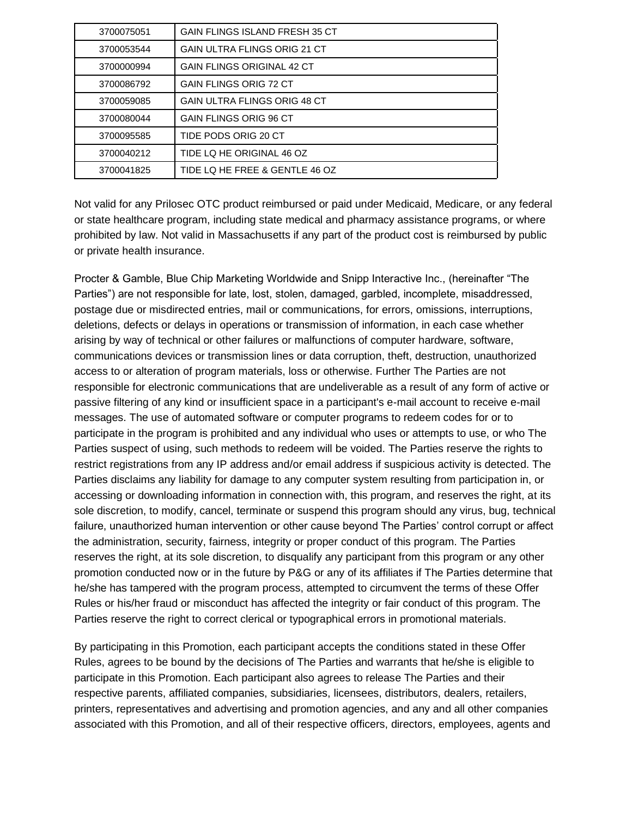| 3700075051 | <b>GAIN FLINGS ISLAND FRESH 35 CT</b> |
|------------|---------------------------------------|
| 3700053544 | <b>GAIN ULTRA FLINGS ORIG 21 CT</b>   |
| 3700000994 | <b>GAIN FLINGS ORIGINAL 42 CT</b>     |
| 3700086792 | <b>GAIN FLINGS ORIG 72 CT</b>         |
| 3700059085 | <b>GAIN ULTRA FLINGS ORIG 48 CT</b>   |
| 3700080044 | <b>GAIN FLINGS ORIG 96 CT</b>         |
| 3700095585 | TIDE PODS ORIG 20 CT                  |
| 3700040212 | TIDE LQ HE ORIGINAL 46 OZ             |
| 3700041825 | TIDE LQ HE FREE & GENTLE 46 OZ        |

Not valid for any Prilosec OTC product reimbursed or paid under Medicaid, Medicare, or any federal or state healthcare program, including state medical and pharmacy assistance programs, or where prohibited by law. Not valid in Massachusetts if any part of the product cost is reimbursed by public or private health insurance.

Procter & Gamble, Blue Chip Marketing Worldwide and Snipp Interactive Inc., (hereinafter "The Parties") are not responsible for late, lost, stolen, damaged, garbled, incomplete, misaddressed, postage due or misdirected entries, mail or communications, for errors, omissions, interruptions, deletions, defects or delays in operations or transmission of information, in each case whether arising by way of technical or other failures or malfunctions of computer hardware, software, communications devices or transmission lines or data corruption, theft, destruction, unauthorized access to or alteration of program materials, loss or otherwise. Further The Parties are not responsible for electronic communications that are undeliverable as a result of any form of active or passive filtering of any kind or insufficient space in a participant's e-mail account to receive e-mail messages. The use of automated software or computer programs to redeem codes for or to participate in the program is prohibited and any individual who uses or attempts to use, or who The Parties suspect of using, such methods to redeem will be voided. The Parties reserve the rights to restrict registrations from any IP address and/or email address if suspicious activity is detected. The Parties disclaims any liability for damage to any computer system resulting from participation in, or accessing or downloading information in connection with, this program, and reserves the right, at its sole discretion, to modify, cancel, terminate or suspend this program should any virus, bug, technical failure, unauthorized human intervention or other cause beyond The Parties' control corrupt or affect the administration, security, fairness, integrity or proper conduct of this program. The Parties reserves the right, at its sole discretion, to disqualify any participant from this program or any other promotion conducted now or in the future by P&G or any of its affiliates if The Parties determine that he/she has tampered with the program process, attempted to circumvent the terms of these Offer Rules or his/her fraud or misconduct has affected the integrity or fair conduct of this program. The Parties reserve the right to correct clerical or typographical errors in promotional materials.

By participating in this Promotion, each participant accepts the conditions stated in these Offer Rules, agrees to be bound by the decisions of The Parties and warrants that he/she is eligible to participate in this Promotion. Each participant also agrees to release The Parties and their respective parents, affiliated companies, subsidiaries, licensees, distributors, dealers, retailers, printers, representatives and advertising and promotion agencies, and any and all other companies associated with this Promotion, and all of their respective officers, directors, employees, agents and